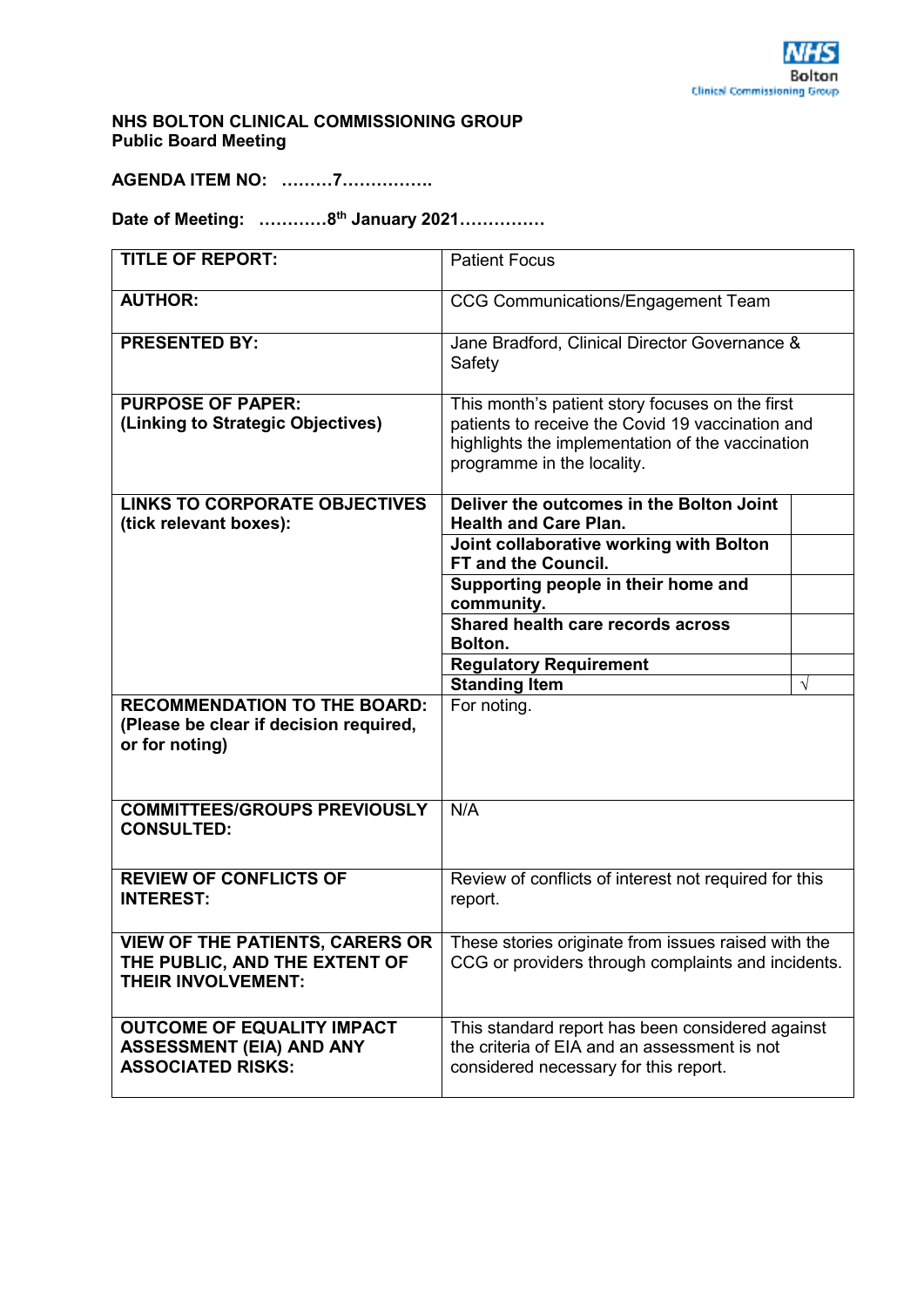## **NHS BOLTON CLINICAL COMMISSIONING GROUP Public Board Meeting**

**AGENDA ITEM NO: ………7…………….** 

**Date of Meeting: …………8th January 2021……………** 

| <b>TITLE OF REPORT:</b>                                                                          | <b>Patient Focus</b>                                                                                                                                                                  |            |
|--------------------------------------------------------------------------------------------------|---------------------------------------------------------------------------------------------------------------------------------------------------------------------------------------|------------|
| <b>AUTHOR:</b>                                                                                   | <b>CCG Communications/Engagement Team</b>                                                                                                                                             |            |
| <b>PRESENTED BY:</b>                                                                             | Jane Bradford, Clinical Director Governance &<br>Safety                                                                                                                               |            |
| <b>PURPOSE OF PAPER:</b><br>(Linking to Strategic Objectives)                                    | This month's patient story focuses on the first<br>patients to receive the Covid 19 vaccination and<br>highlights the implementation of the vaccination<br>programme in the locality. |            |
| <b>LINKS TO CORPORATE OBJECTIVES</b><br>(tick relevant boxes):                                   | Deliver the outcomes in the Bolton Joint<br><b>Health and Care Plan.</b>                                                                                                              |            |
|                                                                                                  | Joint collaborative working with Bolton<br><b>FT and the Council.</b>                                                                                                                 |            |
|                                                                                                  | Supporting people in their home and<br>community.                                                                                                                                     |            |
|                                                                                                  | Shared health care records across<br>Bolton.                                                                                                                                          |            |
|                                                                                                  | <b>Regulatory Requirement</b>                                                                                                                                                         |            |
|                                                                                                  | <b>Standing Item</b>                                                                                                                                                                  | $\sqrt{ }$ |
| <b>RECOMMENDATION TO THE BOARD:</b><br>(Please be clear if decision required,<br>or for noting)  | For noting.                                                                                                                                                                           |            |
| <b>COMMITTEES/GROUPS PREVIOUSLY</b><br><b>CONSULTED:</b>                                         | N/A                                                                                                                                                                                   |            |
| <b>REVIEW OF CONFLICTS OF</b><br><b>INTEREST:</b>                                                | Review of conflicts of interest not required for this<br>report.                                                                                                                      |            |
| THE PUBLIC, AND THE EXTENT OF<br><b>THEIR INVOLVEMENT:</b>                                       | VIEW OF THE PATIENTS, CARERS OR $ $ These stories originate from issues raised with the<br>CCG or providers through complaints and incidents.                                         |            |
| <b>OUTCOME OF EQUALITY IMPACT</b><br><b>ASSESSMENT (EIA) AND ANY</b><br><b>ASSOCIATED RISKS:</b> | This standard report has been considered against<br>the criteria of EIA and an assessment is not<br>considered necessary for this report.                                             |            |